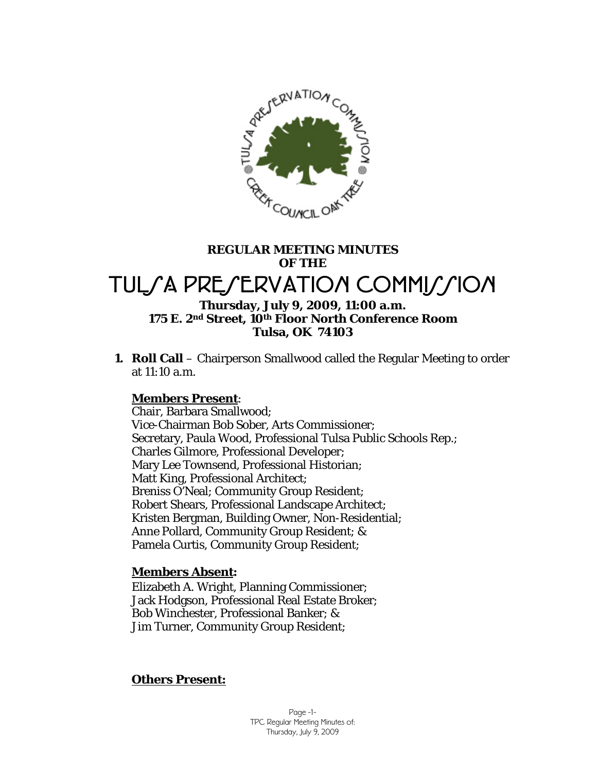

# **REGULAR MEETING MINUTES OF THE**  TULSA PRESERVATION COMMISSION **Thursday, July 9, 2009, 11:00 a.m.**

# **175 E. 2nd Street, 10th Floor North Conference Room Tulsa, OK 74103**

**1. Roll Call** – Chairperson Smallwood called the Regular Meeting to order at 11:10 a.m.

### **Members Present**:

Chair, Barbara Smallwood; Vice-Chairman Bob Sober, Arts Commissioner; Secretary, Paula Wood, Professional Tulsa Public Schools Rep.; Charles Gilmore, Professional Developer; Mary Lee Townsend, Professional Historian; Matt King, Professional Architect; Breniss O'Neal; Community Group Resident; Robert Shears, Professional Landscape Architect; Kristen Bergman, Building Owner, Non-Residential; Anne Pollard, Community Group Resident; & Pamela Curtis, Community Group Resident;

### **Members Absent:**

Elizabeth A. Wright, Planning Commissioner; Jack Hodgson, Professional Real Estate Broker; Bob Winchester, Professional Banker; & Jim Turner, Community Group Resident;

### **Others Present:**

Page -1- TPC Regular Meeting Minutes of: Thursday, July 9, 2009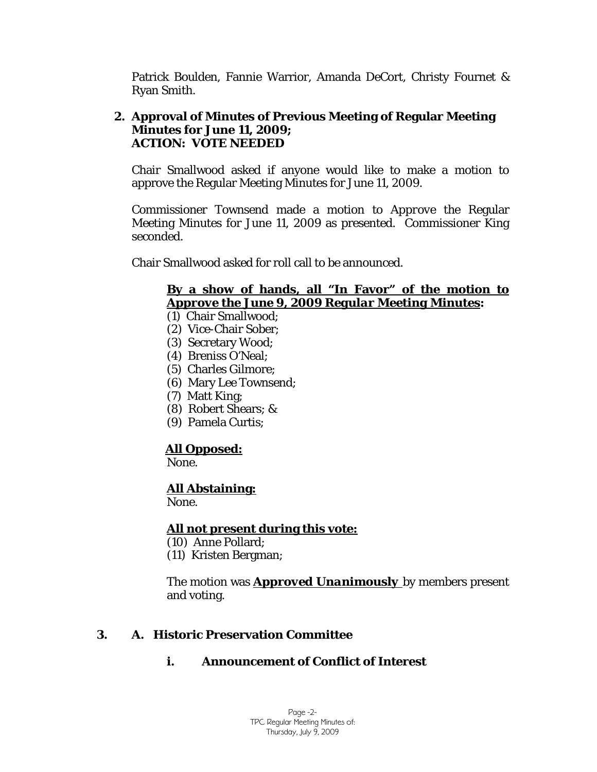Patrick Boulden, Fannie Warrior, Amanda DeCort, Christy Fournet & Ryan Smith.

# **2. Approval of Minutes of Previous Meeting of Regular Meeting Minutes for June 11, 2009; ACTION: VOTE NEEDED**

Chair Smallwood asked if anyone would like to make a motion to approve the Regular Meeting Minutes for June 11, 2009.

Commissioner Townsend made a motion to *Approve* the Regular Meeting Minutes for June 11, 2009 as presented. Commissioner King seconded.

Chair Smallwood asked for roll call to be announced.

# **By a show of hands, all "In Favor" of the motion to**  *Approve the June 9, 2009 Regular Meeting Minutes***:**

- (1) Chair Smallwood;
- (2) Vice-Chair Sober;
- (3) Secretary Wood;
- (4) Breniss O'Neal;
- (5) Charles Gilmore;
- (6) Mary Lee Townsend;
- (7) Matt King;
- (8) Robert Shears; &
- (9) Pamela Curtis;

# **All Opposed:**

None.

# **All Abstaining:**

None.

# **All not present during this vote:**

- (10) Anne Pollard;
- (11) Kristen Bergman;

The motion was *Approved Unanimously* by members present and voting.

# **3. A. Historic Preservation Committee**

# **i. Announcement of Conflict of Interest**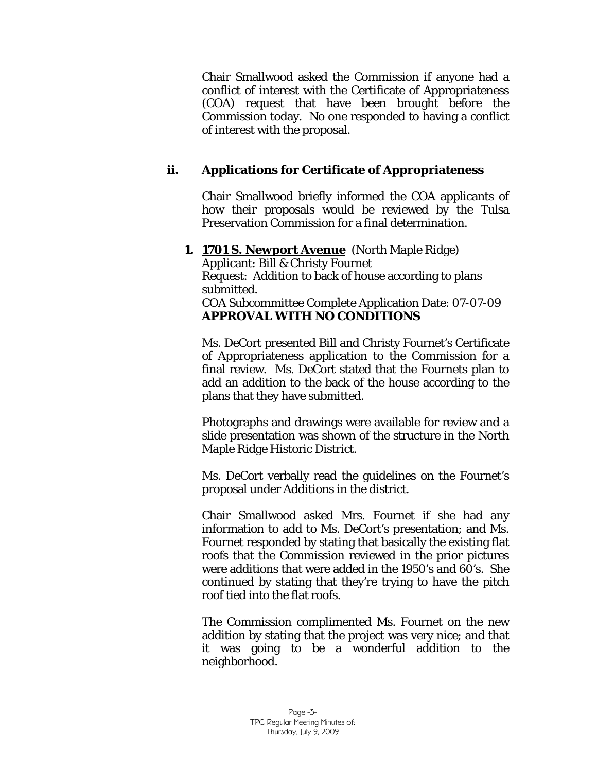Chair Smallwood asked the Commission if anyone had a conflict of interest with the Certificate of Appropriateness (COA) request that have been brought before the Commission today. No one responded to having a conflict of interest with the proposal.

# **ii. Applications for Certificate of Appropriateness**

Chair Smallwood briefly informed the COA applicants of how their proposals would be reviewed by the Tulsa Preservation Commission for a final determination.

## **1. 1701 S. Newport Avenue** (North Maple Ridge)

Applicant: Bill & Christy Fournet Request: Addition to back of house according to plans submitted. COA Subcommittee Complete Application Date: 07-07-09 *APPROVAL WITH NO CONDITIONS* 

Ms. DeCort presented Bill and Christy Fournet's Certificate of Appropriateness application to the Commission for a final review. Ms. DeCort stated that the Fournets plan to add an addition to the back of the house according to the plans that they have submitted.

Photographs and drawings were available for review and a slide presentation was shown of the structure in the North Maple Ridge Historic District.

Ms. DeCort verbally read the guidelines on the Fournet's proposal under *Additions* in the district.

Chair Smallwood asked Mrs. Fournet if she had any information to add to Ms. DeCort's presentation; and Ms. Fournet responded by stating that basically the existing flat roofs that the Commission reviewed in the prior pictures were additions that were added in the 1950's and 60's. She continued by stating that they're trying to have the pitch roof tied into the flat roofs.

The Commission complimented Ms. Fournet on the new addition by stating that the project was very nice; and that it was going to be a wonderful addition to the neighborhood.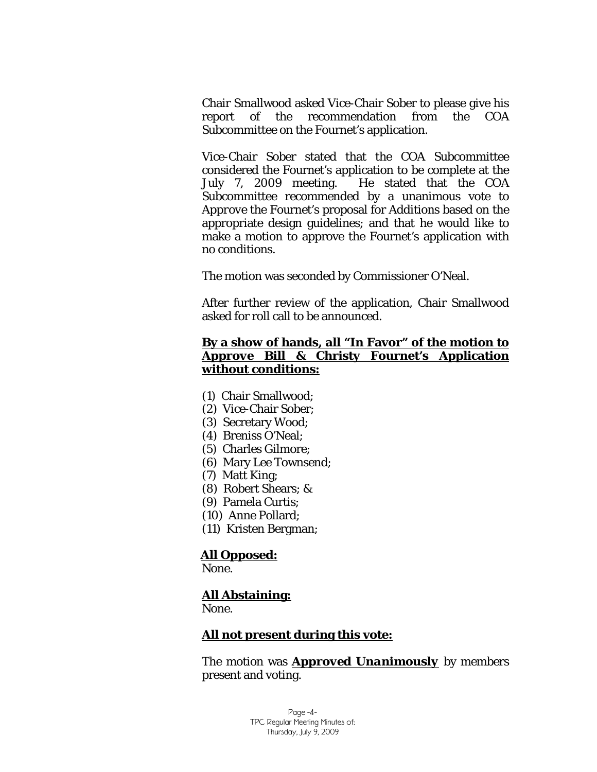Chair Smallwood asked Vice-Chair Sober to please give his report of the recommendation from the COA Subcommittee on the Fournet's application.

Vice-Chair Sober stated that the COA Subcommittee considered the Fournet's application to be complete at the July 7, 2009 meeting. He stated that the COA Subcommittee recommended by a unanimous vote to *Approve* the Fournet's proposal for *Additions* based on the appropriate design guidelines; and that he would like to make a motion to approve the Fournet's application with no conditions.

The motion was seconded by Commissioner O'Neal.

After further review of the application, Chair Smallwood asked for roll call to be announced.

### **By a show of hands, all "In Favor" of the motion to**  *Approve* **Bill & Christy Fournet's Application without conditions:**

- (1) Chair Smallwood;
- (2) Vice-Chair Sober;
- (3) Secretary Wood;
- (4) Breniss O'Neal;
- (5) Charles Gilmore;
- (6) Mary Lee Townsend;
- (7) Matt King;
- (8) Robert Shears; &
- (9) Pamela Curtis;
- (10) Anne Pollard;
- (11) Kristen Bergman;

#### **All Opposed:**

None.

#### **All Abstaining:**

None.

#### **All not present during this vote:**

The motion was *Approved Unanimously* by members present and voting.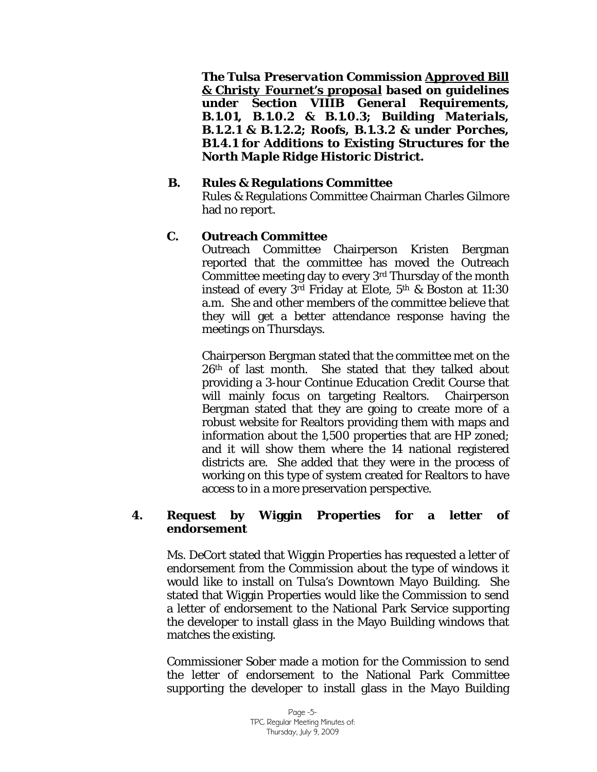*The Tulsa Preservation Commission Approved Bill & Christy Fournet's proposal based on guidelines under Section VIIIB General Requirements, B.1.01, B.1.0.2 & B.1.0.3; Building Materials, B.1.2.1 & B.1.2.2; Roofs, B.1.3.2 & under Porches, B1.4.1 for Additions to Existing Structures for the North Maple Ridge Historic District.*

#### **B. Rules & Regulations Committee**

Rules & Regulations Committee Chairman Charles Gilmore had no report.

## **C. Outreach Committee**

Outreach Committee Chairperson Kristen Bergman reported that the committee has moved the Outreach Committee meeting day to every 3rd Thursday of the month instead of every 3rd Friday at Elote, 5th & Boston at 11:30 a.m. She and other members of the committee believe that they will get a better attendance response having the meetings on Thursdays.

Chairperson Bergman stated that the committee met on the 26th of last month. She stated that they talked about providing a 3-hour Continue Education Credit Course that will mainly focus on targeting Realtors. Chairperson Bergman stated that they are going to create more of a robust website for Realtors providing them with maps and information about the 1,500 properties that are HP zoned; and it will show them where the 14 national registered districts are. She added that they were in the process of working on this type of system created for Realtors to have access to in a more preservation perspective.

### **4. Request by Wiggin Properties for a letter of endorsement**

Ms. DeCort stated that Wiggin Properties has requested a letter of endorsement from the Commission about the type of windows it would like to install on Tulsa's Downtown Mayo Building. She stated that Wiggin Properties would like the Commission to send a letter of endorsement to the National Park Service supporting the developer to install glass in the Mayo Building windows that matches the existing.

Commissioner Sober made a motion for the Commission to send the letter of endorsement to the National Park Committee supporting the developer to install glass in the Mayo Building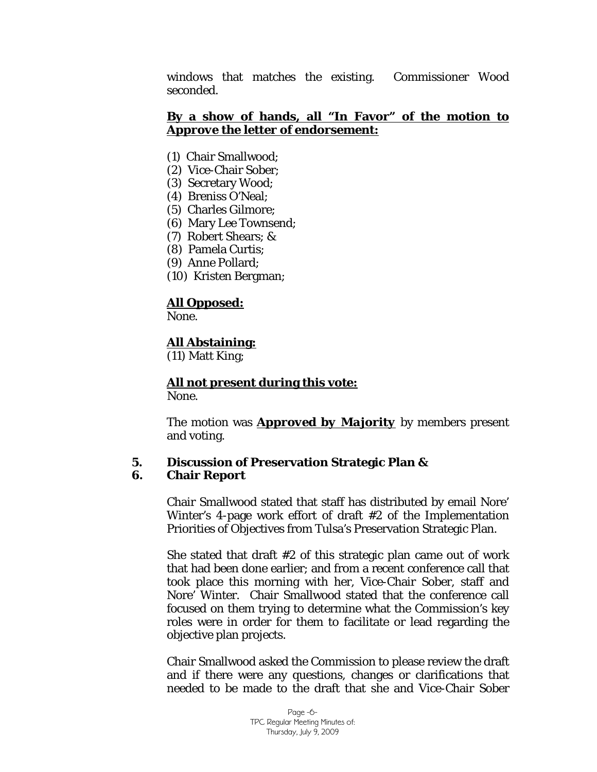windows that matches the existing. Commissioner Wood seconded.

### **By a show of hands, all "In Favor" of the motion to**  *Approve the letter of endorsement***:**

- (1) Chair Smallwood;
- (2) Vice-Chair Sober;
- (3) Secretary Wood;
- (4) Breniss O'Neal;
- (5) Charles Gilmore;
- (6) Mary Lee Townsend;
- (7) Robert Shears; &
- (8) Pamela Curtis;
- (9) Anne Pollard;
- (10) Kristen Bergman;

## **All Opposed:**

None.

## **All Abstaining:**

(11) Matt King;

# **All not present during this vote:**

None.

The motion was *Approved by Majority* by members present and voting.

# **5. Discussion of Preservation Strategic Plan &**

#### **6. Chair Report**

Chair Smallwood stated that staff has distributed by email Nore' Winter's 4-page work effort of draft #2 of the Implementation Priorities of Objectives from Tulsa's Preservation Strategic Plan.

She stated that draft #2 of this strategic plan came out of work that had been done earlier; and from a recent conference call that took place this morning with her, Vice-Chair Sober, staff and Nore' Winter. Chair Smallwood stated that the conference call focused on them trying to determine what the Commission's key roles were in order for them to facilitate or lead regarding the objective plan projects.

Chair Smallwood asked the Commission to please review the draft and if there were any questions, changes or clarifications that needed to be made to the draft that she and Vice-Chair Sober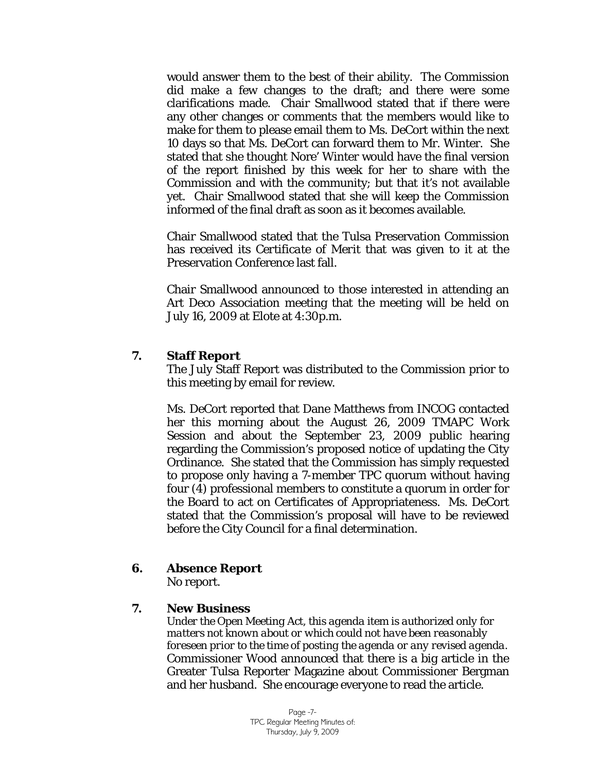would answer them to the best of their ability. The Commission did make a few changes to the draft; and there were some clarifications made. Chair Smallwood stated that if there were any other changes or comments that the members would like to make for them to please email them to Ms. DeCort within the next 10 days so that Ms. DeCort can forward them to Mr. Winter. She stated that she thought Nore' Winter would have the final version of the report finished by this week for her to share with the Commission and with the community; but that it's not available yet. Chair Smallwood stated that she will keep the Commission informed of the final draft as soon as it becomes available.

Chair Smallwood stated that the Tulsa Preservation Commission has received its *Certificate of Merit* that was given to it at the Preservation Conference last fall.

Chair Smallwood announced to those interested in attending an Art Deco Association meeting that the meeting will be held on July 16, 2009 at Elote at 4:30p.m.

#### **7. Staff Report**

The July Staff Report was distributed to the Commission prior to this meeting by email for review.

Ms. DeCort reported that Dane Matthews from INCOG contacted her this morning about the August 26, 2009 TMAPC Work Session and about the September 23, 2009 public hearing regarding the Commission's proposed notice of updating the City Ordinance. She stated that the Commission has simply requested to propose only having a 7-member TPC quorum without having four (4) professional members to constitute a quorum in order for the Board to act on Certificates of Appropriateness. Ms. DeCort stated that the Commission's proposal will have to be reviewed before the City Council for a final determination.

### **6. Absence Report**

No report.

#### **7. New Business**

*Under the Open Meeting Act, this agenda item is authorized only for matters not known about or which could not have been reasonably foreseen prior to the time of posting the agenda or any revised agenda.*  Commissioner Wood announced that there is a big article in the Greater Tulsa Reporter Magazine about Commissioner Bergman and her husband. She encourage everyone to read the article.

> Page -7- TPC Regular Meeting Minutes of: Thursday, July 9, 2009